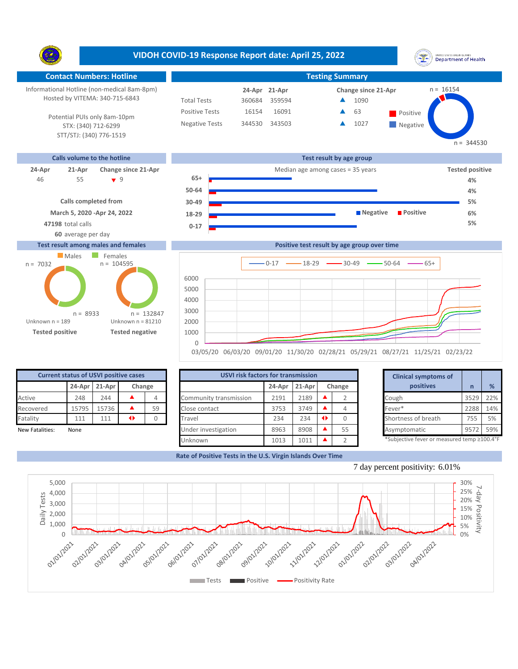**VIDOH COVID-19 Response Report date: April 25, 2022** UNITED STATES VIRGIN SLANDS<br>Department of Health Y. **Contact Numbers: Hotline Testing Summary** Informational Hotline (non-medical 8am-8pm)  $n = 16154$ **21-Apr 24-Apr Change since 21-Apr** Hosted by VITEMA: 340-715-6843 Total Tests 360684 359594 1090 ▲ 16091 **463** Fositive Positive Tests 16154  $\blacktriangle$ 63 Potential PUIs only 8am-10pm Negative Tests 344530 343503 **1027** ▲ **Negative** STX: (340) 712-6299 STT/STJ: (340) 776-1519  $n = 344530$ **Calls volume to the hotline Test result by age group 24-Apr 21-Apr Change since 21-Apr** Median age among cases = 35 years **Tested positive** 55 9 **65+** 46 **4% 50-64 4% Calls completed from 30-49 5% March 5, 2020 -Apr 24, 2022 Negative Positive 6% 18-29 47198** total calls **5% 0-17 60** average per day **Test result among males and females Positive test result by age group over time Males** Females  $n = 104595$ n = 7032  $0-17$   $\longrightarrow$  18-29  $\longrightarrow$  30-49  $\longrightarrow$  50-64  $\longrightarrow$  65+ **Confirmed cases** 6000

Unknown n = 189 **Tested positive Tested negative** Unknown n = 81210 n = 8933 0 1000 2000 3000 4000 5000 n = 132847

|                 | <b>Current status of USVI positive cases</b> |               |    |        | <b>USVI risk factors for transmission</b> |        |          |        | <b>Clinical symptoms of</b>                |      |     |
|-----------------|----------------------------------------------|---------------|----|--------|-------------------------------------------|--------|----------|--------|--------------------------------------------|------|-----|
|                 |                                              | 24-Apr 21-Apr |    | Change |                                           | 24-Apr | $21-Apr$ | Change | positives                                  |      | %   |
| Active          | 248                                          | 244           |    |        | Community transmission                    | 2191   | 2189     |        | Cough                                      | 3529 | 22% |
| Recovered       | 15795                                        | 15736         |    | 59     | Close contact                             | 3753   | 3749     |        | Fever*                                     | 2288 | 14% |
| Fatality        | 111                                          | 111           | 41 |        | Travel                                    | 234    | 234      |        | Shortness of breath                        | 755  | 5%  |
| New Fatalities: | None                                         |               |    |        | Under investigation                       | 8963   | 8908     | 55     | Asymptomatic                               | 957  | 59% |
|                 |                                              |               |    |        | Unknown                                   | 1013   | 1011     |        | *Subjective fever or measured temp ≥100.4° |      |     |

03/05/20 06/03/20 09/01/20 11/30/20 02/28/21 05/29/21 08/27/21 11/25/21 02/23/22

|        | for transmission |   |                          | <b>Clinical symptoms of</b>                                    |      |     |
|--------|------------------|---|--------------------------|----------------------------------------------------------------|------|-----|
| 24-Apr | 21-Apr           |   | Change                   | positives                                                      | n    | %   |
| 2191   | 2189             |   |                          | Cough                                                          | 3529 | 22% |
| 3753   | 3749             |   | 4                        | Fever*                                                         | 2288 | 14% |
| 234    | 234              | ◆ | 0                        | Shortness of breath                                            | 755  | 5%  |
| 8963   | 8908             |   | 55                       | Asymptomatic                                                   | 9572 | 59% |
| 4040   | $A \cap A$       |   | $\overline{\phantom{0}}$ | $*$ Cubiastiva fovor ar mosqurad tamp $\geq$ 100 $1^{\circ}$ F |      |     |